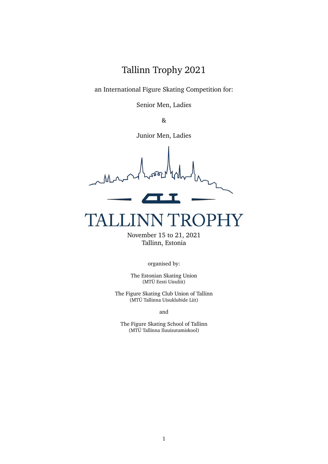Tallinn Trophy 2021

an International Figure Skating Competition for:

Senior Men, Ladies

&

Junior Men, Ladies

#### TRC PHY LIN

November 15 to 21, 2021 Tallinn, Estonia

organised by:

The Estonian Skating Union (MTÜ Eesti Uisuliit)

The Figure Skating Club Union of Tallinn (MTÜ Tallinna Uisuklubide Liit)

and

The Figure Skating School of Tallinn (MTÜ Tallinna Iluuisutamiskool)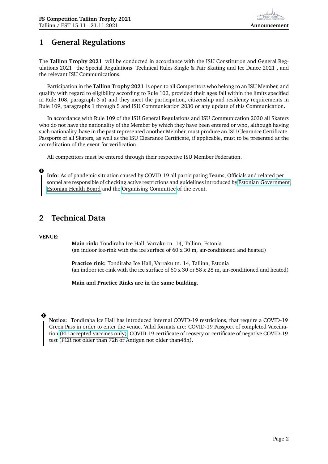# **1 General Regulations**

The **Tallinn Trophy 2021** will be conducted in accordance with the ISU Constitution and General Regulations 2021 the Special Regulations Technical Rules Single & Pair Skating and Ice Dance 2021 , and the relevant ISU Communications.

Participation in the **Tallinn Trophy 2021** is open to all Competitors who belong to an ISU Member, and qualify with regard to eligibility according to Rule 102, provided their ages fall within the limits specified in Rule 108, paragraph 3 a) and they meet the participation, citizenship and residency requirements in Rule 109, paragraphs 1 through 5 and ISU Communication 2030 or any update of this Communication.

In accordance with Rule 109 of the ISU General Regulations and ISU Communication 2030 all Skaters who do not have the nationality of the Member by which they have been entered or who, although having such nationality, have in the past represented another Member, must produce an ISU Clearance Certificate. Passports of all Skaters, as well as the ISU Clearance Certificate, if applicable, must to be presented at the accreditation of the event for verification.

All competitors must be entered through their respective ISU Member Federation.

**Info:** As of pandemic situation caused by COVID-19 all participating Teams, Officials and related personnel are responsible of checking active restrictions and guidelines introduced by [Estonian Government,](https://www.kriis.ee/en) [Estonian Health Board](https://terviseamet.ee/en) and the [Organising Committee](https://tallinntrophy.eu) of the event.

### **2 Technical Data**

#### **VENUE:**

**i**

**Main rink:** Tondiraba Ice Hall, Varraku tn. 14, Tallinn, Estonia (an indoor ice-rink with the ice surface of 60 x 30 m, air-conditioned and heated)

**Practice rink:** Tondiraba Ice Hall, Varraku tn. 14, Tallinn, Estonia (an indoor ice-rink with the ice surface of 60 x 30 or 58 x 28 m, air-conditioned and heated)

**Main and Practice Rinks are in the same building.**

#### **!**

**Notice:** Tondiraba Ice Hall has introduced internal COVID-19 restrictions, that require a COVID-19 Green Pass in order to enter the venue. Valid formats are: COVID-19 Passport of completed Vaccination [\(EU accepted vaccines only\),](https://ec.europa.eu/info/live-work-travel-eu/coronavirus-response/safe-covid-19-vaccines-europeans_en) COVID-19 certificate of reovery or certificate of negative COVID-19 test (PCR not older than 72h or Antigen not older than48h).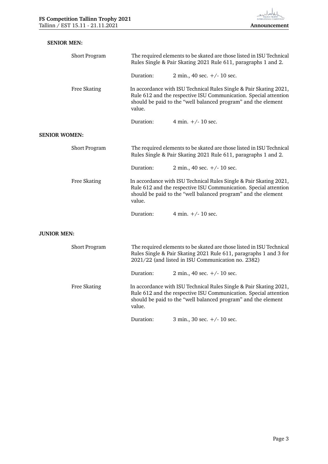| <b>SENIOR MEN:</b>   |               |                                                                                                                                                                                                                   |                               |  |  |
|----------------------|---------------|-------------------------------------------------------------------------------------------------------------------------------------------------------------------------------------------------------------------|-------------------------------|--|--|
|                      | Short Program | The required elements to be skated are those listed in ISU Technical<br>Rules Single & Pair Skating 2021 Rule 611, paragraphs 1 and 2.                                                                            |                               |  |  |
|                      |               | Duration:                                                                                                                                                                                                         | 2 min., 40 sec. $+/- 10$ sec. |  |  |
|                      | Free Skating  | In accordance with ISU Technical Rules Single & Pair Skating 2021,<br>Rule 612 and the respective ISU Communication. Special attention<br>should be paid to the "well balanced program" and the element<br>value. |                               |  |  |
|                      |               | Duration:                                                                                                                                                                                                         | 4 min. $+/- 10$ sec.          |  |  |
| <b>SENIOR WOMEN:</b> |               |                                                                                                                                                                                                                   |                               |  |  |
|                      | Short Program | The required elements to be skated are those listed in ISU Technical<br>Rules Single & Pair Skating 2021 Rule 611, paragraphs 1 and 2.                                                                            |                               |  |  |
|                      |               | Duration:                                                                                                                                                                                                         | 2 min., 40 sec. $+/- 10$ sec. |  |  |
|                      | Free Skating  | In accordance with ISU Technical Rules Single & Pair Skating 2021,<br>Rule 612 and the respective ISU Communication. Special attention<br>should be paid to the "well balanced program" and the element<br>value. |                               |  |  |
|                      |               | Duration:                                                                                                                                                                                                         | 4 min. $+/- 10$ sec.          |  |  |
| <b>JUNIOR MEN:</b>   |               |                                                                                                                                                                                                                   |                               |  |  |
|                      | Short Program | The required elements to be skated are those listed in ISU Technical<br>Rules Single & Pair Skating 2021 Rule 611, paragraphs 1 and 3 for<br>2021/22 (and listed in ISU Communication no. 2382)                   |                               |  |  |
|                      |               | Duration:                                                                                                                                                                                                         | 2 min., 40 sec. $+/- 10$ sec. |  |  |
|                      | Free Skating  | In accordance with ISU Technical Rules Single & Pair Skating 2021,<br>Rule 612 and the respective ISU Communication. Special attention<br>should be paid to the "well balanced program" and the element<br>value. |                               |  |  |
|                      |               | Duration:                                                                                                                                                                                                         | 3 min., 30 sec. $+/- 10$ sec. |  |  |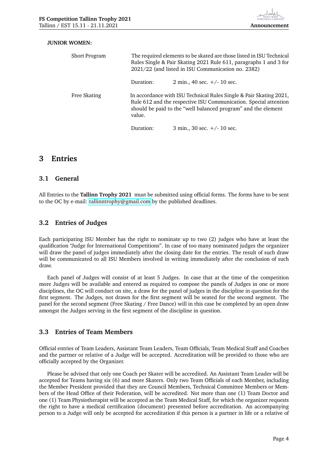#### **JUNIOR WOMEN:**

| <b>Short Program</b> | The required elements to be skated are those listed in ISU Technical<br>Rules Single & Pair Skating 2021 Rule 611, paragraphs 1 and 3 for<br>2021/22 (and listed in ISU Communication no. 2382)                   |                               |  |  |
|----------------------|-------------------------------------------------------------------------------------------------------------------------------------------------------------------------------------------------------------------|-------------------------------|--|--|
|                      | Duration:                                                                                                                                                                                                         | 2 min., 40 sec. $+/- 10$ sec. |  |  |
| Free Skating         | In accordance with ISU Technical Rules Single & Pair Skating 2021,<br>Rule 612 and the respective ISU Communication. Special attention<br>should be paid to the "well balanced program" and the element<br>value. |                               |  |  |
|                      | Duration:                                                                                                                                                                                                         | 3 min., 30 sec. $+/- 10$ sec. |  |  |

#### **3 Entries**

#### **3.1 General**

All Entries to the **Tallinn Trophy 2021** must be submitted using official forms. The forms have to be sent to the OC by e-mail: [tallinntrophy@gmail.com](mailto: tallinntrophy@gmail.com) by the published deadlines.

#### **3.2 Entries of Judges**

Each participating ISU Member has the right to nominate up to two (2) judges who have at least the qualification "Judge for International Competitions". In case of too many nominated judges the organizer will draw the panel of judges immediately after the closing date for the entries. The result of such draw will be communicated to all ISU Members involved in writing immediately after the conclusion of such draw.

Each panel of Judges will consist of at least 5 Judges. In case that at the time of the competition more Judges will be available and entered as required to compose the panels of Judges in one or more disciplines, the OC will conduct on site, a draw for the panel of judges in the discipline in question for the first segment. The Judges, not drawn for the first segment will be seated for the second segment. The panel for the second segment (Free Skating / Free Dance) will in this case be completed by an open draw amongst the Judges serving in the first segment of the discipline in question.

#### **3.3 Entries of Team Members**

Official entries of Team Leaders, Assistant Team Leaders, Team Officials, Team Medical Staff and Coaches and the partner or relative of a Judge will be accepted. Accreditation will be provided to those who are officially accepted by the Organizer.

Please be advised that only one Coach per Skater will be accredited. An Assistant Team Leader will be accepted for Teams having six (6) and more Skaters. Only two Team Officials of each Member, including the Member President provided that they are Council Members, Technical Committee Members or Members of the Head Office of their Federation, will be accredited. Not more than one (1) Team Doctor and one (1) Team Physiotherapist will be accepted as the Team Medical Staff, for which the organizer requests the right to have a medical certification (document) presented before accreditation. An accompanying person to a Judge will only be accepted for accreditation if this person is a partner in life or a relative of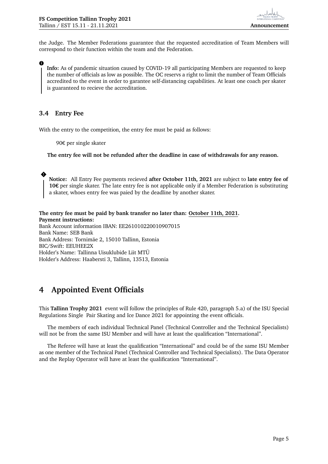the Judge. The Member Federations guarantee that the requested accreditation of Team Members will correspond to their function within the team and the Federation.

**Info:** As of pandemic situation caused by COVID-19 all participating Members are requested to keep the number of officials as low as possible. The OC reservs a right to limit the number of Team Officials accredited to the event in order to garantee self-distancing capabilities. At least one coach per skater is guaranteed to recieve the accreditation.

#### **3.4 Entry Fee**

**i**

**!**

With the entry to the competition, the entry fee must be paid as follows:

90€ per single skater

**The entry fee will not be refunded after the deadline in case of withdrawals for any reason.**

**Notice:** All Entry Fee payments recieved **after October 11th, 2021** are subject to **late entry fee of 10€** per single skater. The late entry fee is not applicable only if a Member Federation is substituting a skater, whoes entry fee was paied by the deadline by another skater.

**The entry fee must be paid by bank transfer no later than: October 11th, 2021. Payment instructions:** Bank Account information IBAN: EE261010220010907015 Bank Name: SEB Bank Bank Address: Tornimäe 2, 15010 Tallinn, Estonia BIC/Swift: EEUHEE2X Holder's Name: Tallinna Uisuklubide Liit MTÜ Holder's Address: Haabersti 3, Tallinn, 13513, Estonia

# **4 Appointed Event Officials**

This **Tallinn Trophy 2021** event will follow the principles of Rule 420, paragraph 5.a) of the ISU Special Regulations Single Pair Skating and Ice Dance 2021 for appointing the event officials.

The members of each individual Technical Panel (Technical Controller and the Technical Specialists) will not be from the same ISU Member and will have at least the qualification "International".

The Referee will have at least the qualification "International" and could be of the same ISU Member as one member of the Technical Panel (Technical Controller and Technical Specialists). The Data Operator and the Replay Operator will have at least the qualification "International".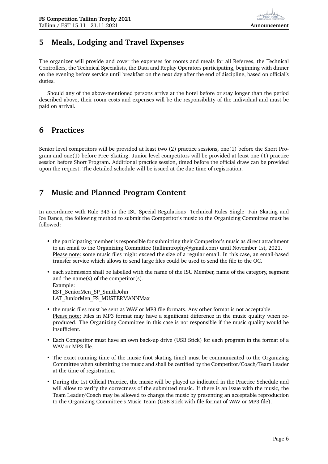## **5 Meals, Lodging and Travel Expenses**

The organizer will provide and cover the expenses for rooms and meals for all Referees, the Technical Controllers, the Technical Specialists, the Data and Replay Operators participating, beginning with dinner on the evening before service until breakfast on the next day after the end of discipline, based on official's duties.

Should any of the above-mentioned persons arrive at the hotel before or stay longer than the period described above, their room costs and expenses will be the responsibility of the individual and must be paid on arrival.

## **6 Practices**

Senior level competitors will be provided at least two (2) practice sessions, one(1) before the Short Program and one(1) before Free Skating. Junior level competitors will be provided at least one (1) practice session before Short Program. Additional practice session, timed before the official draw can be provided upon the request. The detailed schedule will be issued at the due time of registration.

## **7 Music and Planned Program Content**

In accordance with Rule 343 in the ISU Special Regulations Technical Rules Single Pair Skating and Ice Dance, the following method to submit the Competitor's music to the Organizing Committee must be followed:

• the participating member is responsible for submitting their Competitor's music as direct attachment to an email to the Organizing Committee (tallinntrophy@gmail.com) until November 1st, 2021. Please note: some music files might exceed the size of a regular email. In this case, an email-based transfer service which allows to send large files could be used to send the file to the OC.

• each submission shall be labelled with the name of the ISU Member, name of the category, segment and the name(s) of the competitor(s). Example: EST\_SeniorMen\_SP\_SmithJohn LAT JuniorMen FS MUSTERMANNMax

- the music files must be sent as WAV or MP3 file formats. Any other format is not acceptable. Please note: Files in MP3 format may have a significant difference in the music quality when reproduced. The Organizing Committee in this case is not responsible if the music quality would be insufficient.
- Each Competitor must have an own back-up drive (USB Stick) for each program in the format of a WAV or MP3 file.
- The exact running time of the music (not skating time) must be communicated to the Organizing Committee when submitting the music and shall be certified by the Competitor/Coach/Team Leader at the time of registration.
- During the 1st Official Practice, the music will be played as indicated in the Practice Schedule and will allow to verify the correctness of the submitted music. If there is an issue with the music, the Team Leader/Coach may be allowed to change the music by presenting an acceptable reproduction to the Organizing Committee's Music Team (USB Stick with file format of WAV or MP3 file).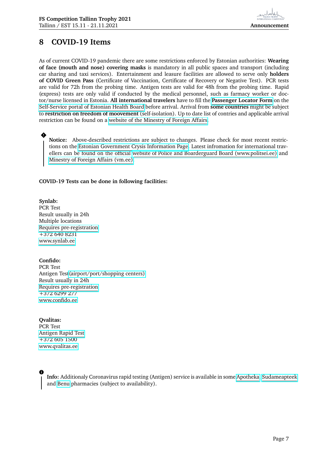# **8 COVID-19 Items**

As of current COVID-19 pandemic there are some restrictions enforced by Estonian authorities: **Wearing of face (mouth and nose) covering masks** is mandatory in all public spaces and transport (including car sharing and taxi services). Entertainment and leasure facilities are allowed to serve only **holders of COVID Green Pass** (Certificate of Vaccination, Certificate of Recovery or Negative Test). PCR tests are valid for 72h from the probing time. Antigen tests are valid for 48h from the probing time. Rapid (express) tests are only valid if conducted by the medical personnel, such as farmacy worker or doctor/nurse licensed in Estonia. **All international travelers** have to fill the **[Passenger Locator Form](https://iseteenindus.terviseamet.ee/)** on the [Self-Service portal of Estonian Health Board](https://iseteenindus.terviseamet.ee/) before arrival. Arrival from **some countries** might be subject to **restriction on freedom of moovement** (self-isolation). Up to date list of contries and applicable arrival restriction can be found on a [website of the Minestry of Foreign Affairs.](https://vm.ee/en/information-countries-and-self-isolation-requirements-passengers)

**Notice:** Above-described restrictions are subject to changes. Please check for most recent restrictions on the [Estonian Government Crysis Information Page.](https://www.kriis.ee/en/restrictions-force-estonia-starting-march-11) Latest infromation for international travellers can be found on the official [website of Police and Boarderguard Board \(www.politsei.ee\)](https://www.politsei.ee/en/instructions/emergency-situation) and [Minestry of Foreign Affairs \(vm.ee\).](https://vm.ee/en/information-countries-and-self-isolation-requirements-passengers)

#### **COVID-19 Tests can be done in following facilities:**

**Synlab:** PCR Test Result usually in 24h Multiple locations [Requires pre-registration](https://minu.synlab.ee/toode/koroonaviiruse-maaramine)  $+372,640,8231$ [www.synlab.ee](https://synlab.ee/en/coronavirus-testing-in-veerenni-2/)

**!**

**Confido:** PCR Test Antigen Tes[t\(airport/port/shopping centers\)](https://www.confido.ee/en/coronavirus-testing/coronavirus-antigen-testing-at-tallinn-airport/) Result usually in 24h [Requires pre-registration](https://onbron.confido.ee/booking/service/A497)  $+372\,6299\,277$ [www.confido.ee](https://www.confido.ee/en/coronavirus-testing/)

**Qvalitas:** PCR Test [Antigen Rapid Test](https://qvalitas.ee/services-and-prices/?lang=en#eraklient-en-sars-cov-2-antigen-rapid-test) +372 605 1500 [www.qvalitas.ee](https://qvalitas.ee/services-and-prices/?lang=en#eraklient-en-coronavirus-testing)

**i**

**Info:** Additionaly Coronavirus rapid testing (Antigen) service is available in some [Apotheka,](https://www.apotheka.ee/teenused/enesetestimine/) [Sudameapteek](https://www.sudameapteek.ee/teenused/sars-cov-2-antigeeni-kiirtestide-kontrollitud-enesetestimise-labi-viimise-teenus/) and [Benu](https://benutervisepunkt.ee/) pharmacies (subject to availability).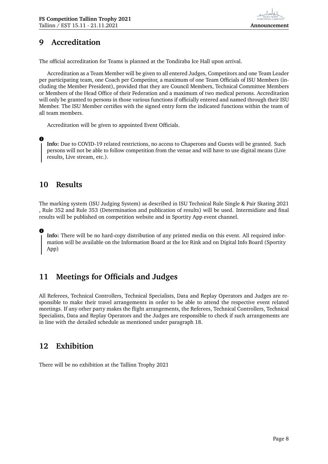# **9 Accreditation**

The official accreditation for Teams is planned at the Tondiraba Ice Hall upon arrival.

Accreditation as a Team Member will be given to all entered Judges, Competitors and one Team Leader per participating team, one Coach per Competitor, a maximum of one Team Officials of ISU Members (including the Member President), provided that they are Council Members, Technical Committee Members or Members of the Head Office of their Federation and a maximum of two medical persons. Accreditation will only be granted to persons in those various functions if officially entered and named through their ISU Member. The ISU Member certifies with the signed entry form the indicated functions within the team of all team members.

Accreditation will be given to appointed Event Officials.

**Info:** Due to COVID-19 related restrictions, no access to Chaperons and Guests will be granted. Such persons will not be able to follow competition from the venue and will have to use digital means (Live results, Live stream, etc.).

## **10 Results**

**i**

**i**

The marking system (ISU Judging System) as described in ISU Technical Rule Single & Pair Skating 2021 , Rule 352 and Rule 353 (Determination and publication of results) will be used. Intermidiate and final results will be published on competition website and in Sportity App event channel.

**Info:** There will be no hard-copy distribution of any printed media on this event. All required information will be available on the Information Board at the Ice Rink and on Digital Info Board (Sportity App)

# **11 Meetings for Officials and Judges**

All Referees, Technical Controllers, Technical Specialists, Data and Replay Operators and Judges are responsible to make their travel arrangements in order to be able to attend the respective event related meetings. If any other party makes the flight arrangements, the Referees, Technical Controllers, Technical Specialists, Data and Replay Operators and the Judges are responsible to check if such arrangements are in line with the detailed schedule as mentioned under paragraph 18.

### **12 Exhibition**

There will be no exhibition at the Tallinn Trophy 2021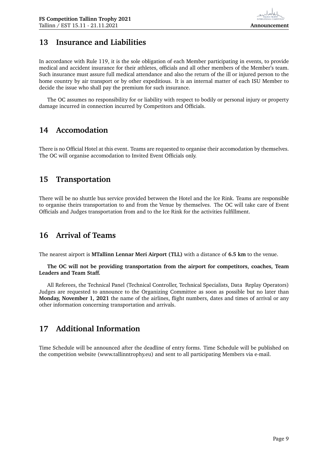### **13 Insurance and Liabilities**

In accordance with Rule 119, it is the sole obligation of each Member participating in events, to provide medical and accident insurance for their athletes, officials and all other members of the Member's team. Such insurance must assure full medical attendance and also the return of the ill or injured person to the home country by air transport or by other expeditious. It is an internal matter of each ISU Member to decide the issue who shall pay the premium for such insurance.

The OC assumes no responsibility for or liability with respect to bodily or personal injury or property damage incurred in connection incurred by Competitors and Officials.

### **14 Accomodation**

There is no Official Hotel at this event. Teams are requested to organise their accomodation by themselves. The OC will organise accomodation to Invited Event Officials only.

### **15 Transportation**

There will be no shuttle bus service provided between the Hotel and the Ice Rink. Teams are responsible to organise theirs transportation to and from the Venue by themselves. The OC will take care of Event Officials and Judges transportation from and to the Ice Rink for the activities fulfillment.

### **16 Arrival of Teams**

The nearest airport is **MTallinn Lennar Meri Airport (TLL)** with a distance of **6.5 km** to the venue.

**The OC will not be providing transportation from the airport for competitors, coaches, Team Leaders and Team Staff.**

All Referees, the Technical Panel (Technical Controller, Technical Specialists, Data Replay Operators) Judges are requested to announce to the Organizing Committee as soon as possible but no later than **Monday, November 1, 2021** the name of the airlines, flight numbers, dates and times of arrival or any other information concerning transportation and arrivals.

# **17 Additional Information**

Time Schedule will be announced after the deadline of entry forms. Time Schedule will be published on the competition website (www.tallinntrophy.eu) and sent to all participating Members via e-mail.